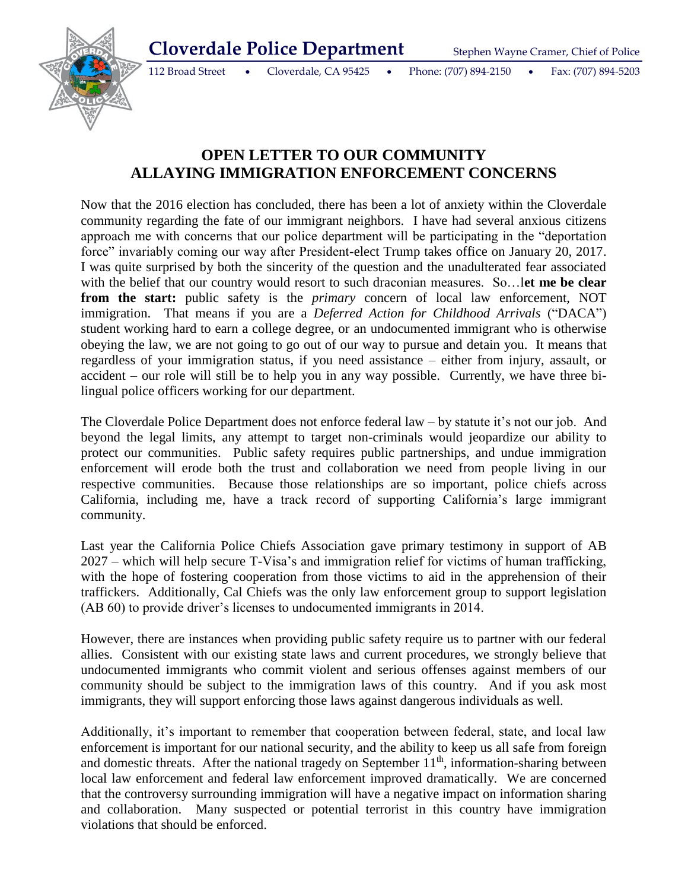

112 Broad Street Cloverdale, CA 95425 Phone: (707) 894-2150 Fax: (707) 894-5203

## **OPEN LETTER TO OUR COMMUNITY ALLAYING IMMIGRATION ENFORCEMENT CONCERNS**

Now that the 2016 election has concluded, there has been a lot of anxiety within the Cloverdale community regarding the fate of our immigrant neighbors. I have had several anxious citizens approach me with concerns that our police department will be participating in the "deportation force" invariably coming our way after President-elect Trump takes office on January 20, 2017. I was quite surprised by both the sincerity of the question and the unadulterated fear associated with the belief that our country would resort to such draconian measures. So…let me be clear **from the start:** public safety is the *primary* concern of local law enforcement, NOT immigration. That means if you are a *Deferred Action for Childhood Arrivals* ("DACA") student working hard to earn a college degree, or an undocumented immigrant who is otherwise obeying the law, we are not going to go out of our way to pursue and detain you. It means that regardless of your immigration status, if you need assistance – either from injury, assault, or accident – our role will still be to help you in any way possible. Currently, we have three bilingual police officers working for our department.

The Cloverdale Police Department does not enforce federal law – by statute it's not our job. And beyond the legal limits, any attempt to target non-criminals would jeopardize our ability to protect our communities. Public safety requires public partnerships, and undue immigration enforcement will erode both the trust and collaboration we need from people living in our respective communities. Because those relationships are so important, police chiefs across California, including me, have a track record of supporting California's large immigrant community.

Last year the California Police Chiefs Association gave primary testimony in support of AB 2027 – which will help secure T-Visa's and immigration relief for victims of human trafficking, with the hope of fostering cooperation from those victims to aid in the apprehension of their traffickers. Additionally, Cal Chiefs was the only law enforcement group to support legislation (AB 60) to provide driver's licenses to undocumented immigrants in 2014.

However, there are instances when providing public safety require us to partner with our federal allies. Consistent with our existing state laws and current procedures, we strongly believe that undocumented immigrants who commit violent and serious offenses against members of our community should be subject to the immigration laws of this country. And if you ask most immigrants, they will support enforcing those laws against dangerous individuals as well.

Additionally, it's important to remember that cooperation between federal, state, and local law enforcement is important for our national security, and the ability to keep us all safe from foreign and domestic threats. After the national tragedy on September  $11<sup>th</sup>$ , information-sharing between local law enforcement and federal law enforcement improved dramatically. We are concerned that the controversy surrounding immigration will have a negative impact on information sharing and collaboration. Many suspected or potential terrorist in this country have immigration violations that should be enforced.